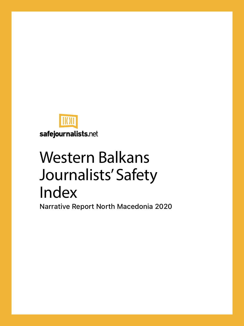

safejournalists.net

# Western Balkans Journalists' Safety Index

Narrative Report North Macedonia 2020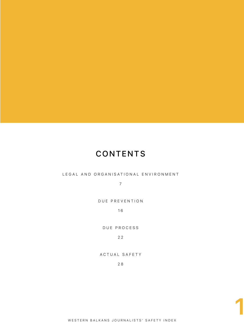#### **CONTENTS**

#### [LEGAL AND ORGANISATIONAL ENVIRONMENT](#page-7-0)

7

[DUE PREVENTION](#page-16-0)

1 6

[DUE PROCESS](#page-22-0)

2 2

[ACTUAL SAFETY](#page-28-0)

2 8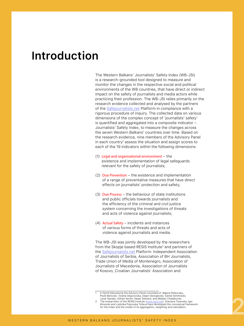### **Introduction**

The Western Balkans' Journalists' Safety Index (WB-JSI) is a research-grounded tool designed to measure and monitor the changes in the respective social and political environments of the WB countries, that have direct or indirect impact on the safety of journalists and media actors while practicing their profession. The WB-JSI relies primarily on the research evidence collected and analysed by the partners of the [Safejournalists.net](http://Safejournalists.net) Platform in compliance with a rigorous procedure of inquiry. The collected data on various dimensions of the complex concept of 'journalists' safety' is quantified and aggregated into a composite indicator – Journalists' Safety Index, to measure the changes across the seven Western Balkans' countries over time. Based on the research evidence, nine members of the Advisory Panel in each country $^{\rm 1}$  assess the situation and assign scores to  $\,$ each of the 19 indicators within the following dimensions:

- (1) Legal and organisational environment the existence and implementation of legal safeguards relevant for the safety of journalists;
- (2) Due Prevention the existence and implementation of a range of preventative measures that have direct effects on journalists' protection and safety;
- (3) Due Process the behaviour of state institutions and public officials towards journalists and the efficiency of the criminal and civil justice system concerning the investigations of threats and acts of violence against journalists;
- (4) Actual Safety incidents and instances of various forms of threats and acts of violence against journalists and media.

The WB-JSI was jointly developed by the researchers from the Skopje based RESIS Institute<sup>2</sup> and partners of the [Safejournalists.net](http://Safejournalists.net) Platform: Independent Association of Journalists of Serbia, Association of BH Journalists, Trade Union of Media of Montenegro, Association of Journalists of Macedonia, Association of Journalists of Kosovo, Croatian Journalists' Association and

In North Macedonia the Advisory Panel consisted of: Biliana Petkovska, Pavle Belovski, Violeta Gligorovska, Dejan Georgievski, Daniel Dimitrieski, Lazar Sandev, Adrian Kerimi, Naser Selmani, and Mladen Chadikovski.

The researchers of the RESIS Institute [\(www.resis.mk](http://www.resis.mk)), Snezana Trpevska, Igor Micevski and Ljubinka Popovska Toševa have developed the conceptual framework for the Index and the model of its aggregation, weighting and calculation.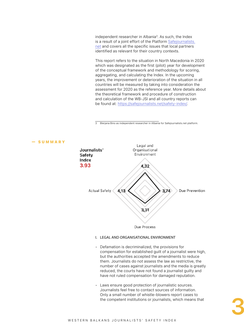independent researcher in Albania<sup>3</sup>. As such, the Index is a result of a joint effort of the Platform [Safejournalists.](http://Safejournalists.net) [net](http://Safejournalists.net) and covers all the specific issues that local partners identified as relevant for their country contexts.

This report refers to the situation in North Macedonia in 2020 which was designated as the first (pilot) year for development of the conceptual framework and methodology for scoring, aggregating, and calculating the Index. In the upcoming years, the improvement or deterioration of the situation in all countries will be measured by taking into consideration the assessment for 2020 as the reference year. More details about the theoretical framework and procedure of construction and calculation of the WB-JSI and all country reports can be found at: [https://safejournalists.net/safety-index/.](https://safejournalists.net/safety-index/)

3 Blerjana Bino as independent researcher in Albania for Safejournalists.net platform.



— SUMMARY

- Defamation is decriminalized, the provisions for compensation for established guilt of a journalist were high, but the authorities accepted the amendments to reduce them. Journalists do not assess the law as restrictive, the number of cases against journalists and the media is greatly reduced, the courts have not found a journalist guilty and have not ruled compensation for damaged reputation.
- Laws ensure good protection of journalistic sources. Journalists feel free to contact sources of information. Only a small number of whistle-blowers report cases to the competent institutions or journalists, which means that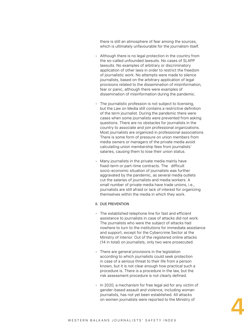there is still an atmosphere of fear among the sources, which is ultimately unfavourable for the journalism itself.

- Although there is no legal protection in the country from the so-called unfounded lawsuits. No cases of SLAPP lawsuits. No examples of arbitrary or discriminatory application of other laws in order to restrict the freedom of journalistic work. No attempts were made to silence journalists, based on the arbitrary application of legal provisions related to the dissemination of misinformation, fear or panic, although there were examples of dissemination of misinformation during the pandemic.
- The journalistic profession is not subject to licensing, but the Law on Media still contains a restrictive definition of the term journalist. During the pandemic there were cases when some journalists were prevented from asking questions. There are no obstacles for journalists in the country to associate and join professional organizations. Most journalists are organized in professional associations. There is some form of pressure on union members from media owners or managers of the private media avoid calculating union membership fees from journalists' salaries, causing them to lose their union status.
- Many journalists in the private media mainly have fixed-term or part-time contracts. The difficult socio-economic situation of journalists was further aggravated by the pandemic, as several media outlets cut the salaries of journalists and media workers. A small number of private media have trade unions, i.e., journalists are still afraid or lack of interest for organizing themselves within the media in which they work.

#### II. DUE PREVENTION

- The established telephone line for fast and efficient assistance to journalists in case of attacks did not work. The journalists who were the subject of attacks had nowhere to turn to the institutions for immediate assistance and support, except for the Cybercrime Sector at the Ministry of Interior. Out of the registered online attacks (14 in total) on journalists, only two were prosecuted.
- There are general provisions in the legislation according to which journalists could seek protection in case of a serious threat to their life from a person known, but it is not clear enough how practical such a procedure is. There is a procedure in the law, but the risk assessment procedure is not clearly defined.
- In 2020, a mechanism for free legal aid for any victim of gender-based assault and violence, including woman journalists, has not yet been established. All attacks on women journalists were reported to the Ministry of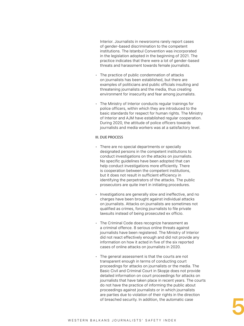Interior. Journalists in newsrooms rarely report cases of gender-based discrimination to the competent institutions. The Istanbul Convention was incorporated in the legislation adopted in the beginning of 2021. The practice indicates that there were a lot of gender-based threats and harassment towards female journalists.

- The practice of public condemnation of attacks on journalists has been established, but there are examples of politicians and public officials insulting and threatening journalists and the media, thus creating environment for insecurity and fear among journalists.
- The Ministry of Interior conducts regular trainings for police officers, within which they are introduced to the basic standards for respect for human rights. The Ministry of Interior and AJM have established regular cooperation. During 2020, the attitude of police officers towards journalists and media workers was at a satisfactory level.

#### III. DUE PROCESS

- There are no special departments or specially designated persons in the competent institutions to conduct investigations on the attacks on journalists. No specific guidelines have been adopted that can help conduct investigations more efficiently. There is cooperation between the competent institutions, but it does not result in sufficient efficiency in identifying the perpetrators of the attacks. The public prosecutors are quite inert in initiating procedures.
- Investigations are generally slow and ineffective, and no charges have been brought against individual attacks on journalists. Attacks on journalists are sometimes not qualified as crimes, forcing journalists to file private lawsuits instead of being prosecuted ex officio.
- The Criminal Code does recognize harassment as a criminal offence. 8 serious online threats against journalists have been registered. The Ministry of Interior did not react effectively enough and did not provide any information on how it acted in five of the six reported cases of online attacks on journalists in 2020.
- The general assessment is that the courts are not transparent enough in terms of conducting court proceedings for attacks on journalists or the media. The Basic Civil and Criminal Court in Skopje does not provide detailed information on court proceedings for attacks on journalists that have taken place in recent years. The courts do not have the practice of informing the public about proceedings against journalists or in which journalists are parties due to violation of their rights in the direction of breached security. In addition, the automatic case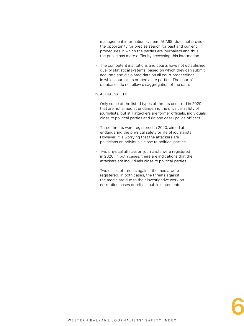management information system (ACMIS) does not provide the opportunity for precise search for past and current procedures in which the parties are journalists and thus the public has more difficulty accessing this information.

• The competent institutions and courts have not established quality statistical systems, based on which they can submit accurate and disjointed data on all court proceedings in which journalists or media are parties. The courts' databases do not allow disaggregation of the data.

#### IV. ACTUAL SAFETY

- Only some of the listed types of threats occurred in 2020 that are not aimed at endangering the physical safety of journalists, but still attackers are former officials, individuals close to political parties and (in one case) police officers.
- Three threats were registered in 2020, aimed at endangering the physical safety or life of journalists. However, it is worrying that the attackers are politicians or individuals close to political parties.
- Two physical attacks on journalists were registered in 2020. In both cases, there are indications that the attackers are individuals close to political parties.
- Two cases of threats against the media were registered. In both cases, the threats against the media are due to their investigative work on corruption cases or critical public statements.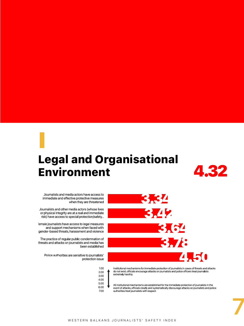## <span id="page-7-0"></span>Legal and Organisational Environment I



Journalists and media actors have access to immediate and effective protective measures when they are threatened

Journalists and other media actors (whose lives or physical integrity are at a real and immediate risk) have access to special protection/safety...

emale journalists have access to legal measures and support mechanisms when faced with gender-based threats, harassment and violence

The practice of regular public condemnation of threats and attacks on journalists and media has been established

Police authorities are sensitive to journalists' protection issue



3.34 3.42 3.64 3.78 4.50

do not exist, officials encourage attacks on journalists and police officers treat journalists extremely harshly.

All institutional mechanisms are established for the immediate protection of journalists in the event of attacks, officials clearly and systematically discourage attacks on journalists and police authorities treat journalists with respect.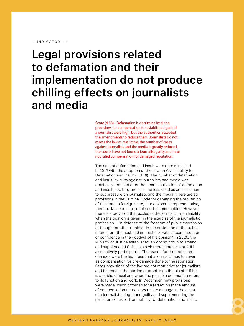#### $-$  INDICATOR 11

### **Legal provisions related to defamation and their implementation do not produce chilling effects on journalists and media**

Score (4.58) - Defamation is decriminalized, the provisions for compensation for established guilt of a journalist were high, but the authorities accepted the amendments to reduce them. Journalists do not assess the law as restrictive, the number of cases against journalists and the media is greatly reduced, the courts have not found a journalist guilty and have not ruled compensation for damaged reputation.

The acts of defamation and insult were decriminalized in 2012 with the adoption of the Law on Civil Liability for Defamation and Insult (LCLDI). The number of defamation and insult lawsuits against journalists and media was drastically reduced after the decriminalization of defamation and insult, i.e., they are less and less used as an instrument to put pressure on journalists and the media. There are still provisions in the Criminal Code for damaging the reputation of the state, a foreign state, or a diplomatic representative, then the Macedonian people or the communities. However, there is a provision that excludes the journalist from liability when the opinion is given "in the exercise of the journalistic profession ... in defence of the freedom of public expression of thought or other rights or in the protection of the public interest or other justified interests, or with sincere intention or confidence in the goodwill of his opinion." In 2020, the Ministry of Justice established a working group to amend and supplement LCLDI, in which representatives of AJM also actively participated. The reason for the requested changes were the high fees that a journalist has to cover as compensation for the damage done to the reputation. Other provisions of the law are not restrictive for journalists and the media, the burden of proof is on the plaintiff if he is a public official and when the possible defamation refers to its function and work. In December, new provisions were made which provided for a reduction in the amount of compensation for non-pecuniary damage in the event of a journalist being found guilty and supplementing the parts for exclusion from liability for defamation and insult.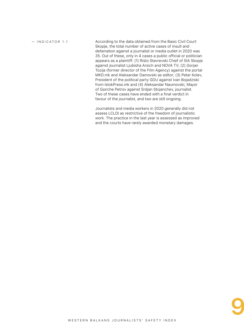According to the data obtained from the Basic Civil Court Skopje, the total number of active cases of insult and defamation against a journalist or media outlet in 2020 was 35. Out of these, only in 4 cases a public official or politician appears as a plaintiff: (1) Risto Stavrevski Chief of SIA Skopje against journalist Ljubisha Arsich and NOVA TV; (2) Gorjan Tozija (former director of the Film Agency) against the portal MKD.mk and Aleksandar Damovski as editor; (3) Petar Kolev, President of the political party GDU against Ivan Bojadziski from IstokPress.mk and (4) Aleksandar Naumovski, Mayor of Gjorche Petrov against Srdjan Stojanchev, journalist. Two of these cases have ended with a final verdict in favour of the journalist, and two are still ongoing. — INDICATOR 1.1

> Journalists and media workers in 2020 generally did not assess LCLDI as restrictive of the freedom of journalistic work. The practice in the last year is assessed as improved and the courts have rarely awarded monetary damages.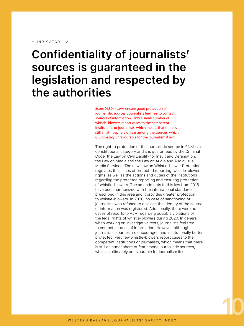### **Confidentiality of journalists' sources is guaranteed in the legislation and respected by the authorities**

Score (4.80) - Laws ensure good protection of journalistic sources. Journalists feel free to contact sources of information. Only a small number of whistle-blowers report cases to the competent institutions or journalists, which means that there is still an atmosphere of fear among the sources, which is ultimately unfavourable for the journalism itself.

The right to protection of the journalistic source in RNM is a constitutional category and it is guaranteed by the Criminal Code, the Law on Civil Liability for Insult and Defamation, the Law on Media and the Law on Audio and Audiovisual Media Services. The new Law on Whistle-blower Protection regulates the issues of protected reporting, whistle-blower rights, as well as the actions and duties of the institutions regarding the protected reporting and ensuring protection of whistle-blowers. The amendments to this law from 2018 have been harmonized with the international standards prescribed in this area and it provides greater protection to whistle-blowers. In 2020, no case of sanctioning of journalists who refused to disclose the identity of the source of information was registered. Additionally, there were no cases of reports to AJM regarding possible violations of the legal rights of whistle-blowers during 2020. In general, when working on investigative texts, journalists feel free to contact sources of information. However, although journalistic sources are encouraged and institutionally better protected, very few whistle-blowers report cases to the competent institutions or journalists, which means that there is still an atmosphere of fear among journalistic sources, which is ultimately unfavourable for journalism itself.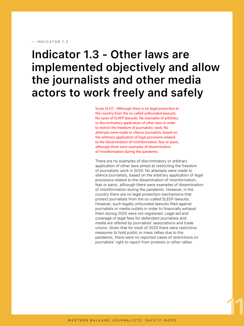#### — INDICATOR 1.3

### **Indicator 1.3 - Other laws are implemented objectively and allow the journalists and other media actors to work freely and safely**

Score (4.57) - Although there is no legal protection in the country from the so-called unfounded lawsuits. No cases of SLAPP lawsuits. No examples of arbitrary or discriminatory application of other laws in order to restrict the freedom of journalistic work. No attempts were made to silence journalists, based on the arbitrary application of legal provisions related to the dissemination of misinformation, fear or panic, although there were examples of dissemination of misinformation during the pandemic.

There are no examples of discriminatory or arbitrary application of other laws aimed at restricting the freedom of journalistic work in 2020. No attempts were made to silence journalists, based on the arbitrary application of legal provisions related to the dissemination of misinformation, fear or panic, although there were examples of dissemination of misinformation during the pandemic. However, in the country there are no legal protection mechanisms that protect journalists from the so-called SLEEP lawsuits. However, such legally unfounded lawsuits filed against journalists or media outlets in order to financially exhaust them during 2020 were not registered. Legal aid and coverage of legal fees for defendant journalists and media are offered by journalists' associations and trade unions. Given that for most of 2020 there were restrictive measures to hold public or mass rallies due to the pandemic, there were no reported cases of restrictions on journalists' right to report from protests or other rallies.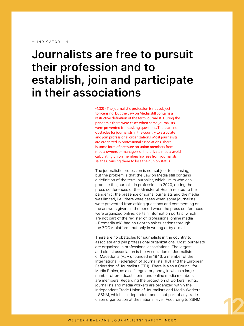#### $-$  INDICATOR 14

### **Journalists are free to pursuit their profession and to establish, join and participate in their associations**

(4.32) - The journalistic profession is not subject to licensing, but the Law on Media still contains a restrictive definition of the term journalist. During the pandemic there were cases when some journalists were prevented from asking questions. There are no obstacles for journalists in the country to associate and join professional organizations. Most journalists are organized in professional associations. There is some form of pressure on union members from media owners or managers of the private media avoid calculating union membership fees from journalists' salaries, causing them to lose their union status.

The journalistic profession is not subject to licensing, but the problem is that the Law on Media still contains a definition of the term journalist, which limits who can practice the journalistic profession. In 2020, during the press conferences of the Minister of Health related to the pandemic, the presence of some journalists and the media was limited, i.e., there were cases when some journalists were prevented from asking questions and commenting on the answers given. In the period when the press conferences were organized online, certain information portals (which are not part of the register of professional online media - Promedia.mk) had no right to ask questions through the ZOOM platform, but only in writing or by e-mail.

There are no obstacles for journalists in the country to associate and join professional organizations. Most journalists are organized in professional associations. The largest and oldest association is the Association of Journalists of Macedonia (AJM), founded in 1946, a member of the International Federation of Journalists (IFJ) and the European Federation of Journalists (EFJ). There is also a Council for Media Ethics, as a self-regulatory body, in which a large number of broadcasts, print and online media members are members. Regarding the protection of workers' rights, journalists and media workers are organized within the Independent Trade Union of Journalists and Media Workers - SSNM, which is independent and is not part of any trade union organization at the national level. According to SSNM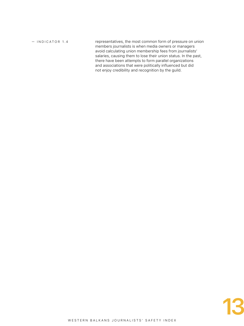representatives, the most common form of pressure on union members journalists is when media owners or managers avoid calculating union membership fees from journalists' salaries, causing them to lose their union status. In the past, there have been attempts to form parallel organizations and associations that were politically influenced but did not enjoy credibility and recognition by the guild. — INDICATOR 1.4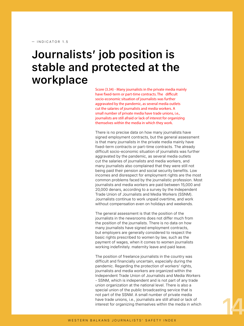— INDICATOR 1.5

### **Journalists' job position is stable and protected at the workplace**

Score (3.34) - Many journalists in the private media mainly have fixed-term or part-time contracts. The difficult socio-economic situation of journalists was further aggravated by the pandemic, as several media outlets cut the salaries of journalists and media workers. A small number of private media have trade unions, i.e., journalists are still afraid or lack of interest for organizing themselves within the media in which they work.

There is no precise data on how many journalists have signed employment contracts, but the general assessment is that many journalists in the private media mainly have fixed-term contracts or part-time contracts. The already difficult socio-economic situation of journalists was further aggravated by the pandemic, as several media outlets cut the salaries of journalists and media workers, and many journalists also complained that they were still not being paid their pension and social security benefits. Low incomes and disrespect for employment rights are the most common problems faced by the journalistic profession. Most journalists and media workers are paid between 15,000 and 20,000 denars, according to a survey by the Independent Trade Union of Journalists and Media Workers (SSNM). Journalists continue to work unpaid overtime, and work without compensation even on holidays and weekends.

The general assessment is that the position of the journalists in the newsrooms does not differ much from the position of the journalists. There is no data on how many journalists have signed employment contracts, but employers are generally considered to respect the basic rights prescribed to women by law, such as the payment of wages, when it comes to women journalists working indefinitely. maternity leave and paid leave.

The position of freelance journalists in the country was difficult and financially uncertain, especially during the pandemic. Regarding the protection of workers' rights, journalists and media workers are organized within the Independent Trade Union of Journalists and Media Workers - SSNM, which is independent and is not part of any trade union organization at the national level. There is also a special union of the public broadcasting service that is not part of the SSNM. A small number of private media have trade unions, i.e., journalists are still afraid or lack of interest for organizing themselves within the media in which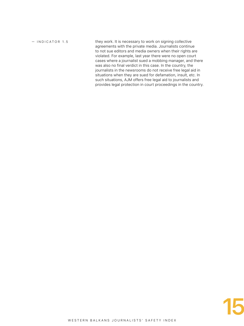— INDICATOR 1.5

they work. It is necessary to work on signing collective agreements with the private media. Journalists continue to not sue editors and media owners when their rights are violated. For example, last year there were no open court cases where a journalist sued a mobbing manager, and there was also no final verdict in this case. In the country, the journalists in the newsrooms do not receive free legal aid in situations when they are sued for defamation, insult, etc. In such situations, AJM offers free legal aid to journalists and provides legal protection in court proceedings in the country.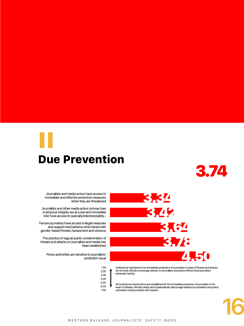## <span id="page-16-0"></span>Due Prevention II



Journalists and media actors have access to immediate and effective protective measures when they are threatened

Journalists and other media actors (whose lives or physical integrity are at a real and immediate risk) have access to special protection/safety...

Female journalists have access to legal measures and support mechanisms when faced with gender-based threats, harassment and violence

The practice of regular public condemnation of threats and attacks on journalists and media has been established

Police authorities are sensitive to journalists' protection issue



3.42 3.64 3.78 4.50

3.34

do not exist, officials encourage attacks on journalists and police officers treat journalists extremely harshly.

All institutional mechanisms are established for the immediate protection of journalists in the<br>event of attacks, officials clearly and systematically discourage attacks on journalists and police authorities treat journalists with respect.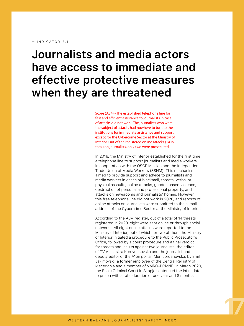### **Journalists and media actors have access to immediate and effective protective measures when they are threatened**

Score (3.34) - The established telephone line for fast and efficient assistance to journalists in case of attacks did not work. The journalists who were the subject of attacks had nowhere to turn to the institutions for immediate assistance and support, except for the Cybercrime Sector at the Ministry of Interior. Out of the registered online attacks (14 in total) on journalists, only two were prosecuted.

In 2018, the Ministry of Interior established for the first time a telephone line to support journalists and media workers, in cooperation with the OSCE Mission and the Independent Trade Union of Media Workers (SSNM). This mechanism aimed to provide support and advice to journalists and media workers in cases of blackmail, threats, verbal or physical assaults, online attacks, gender-based violence, destruction of personal and professional property, and attacks on newsrooms and journalists' homes. However, this free telephone line did not work in 2020, and reports of online attacks on journalists were submitted to the e-mail address of the Cybercrime Sector at the Ministry of Interior.

According to the AJM register, out of a total of 14 threats registered in 2020, eight were sent online or through social networks. All eight online attacks were reported to the Ministry of Interior, out of which for two of them the Ministry of Interior initiated a procedure to the Public Prosecutor's Office, followed by a court procedure and a final verdict for threats and insults against two journalists: the editor of TV Alfa, Iskra Koroveshovska and the journalist and deputy editor of the A1on portal, Meri Jordanovska, by Emil Jakimovski, a former employee of the Central Registry of Macedonia and a member of VMRO-DPMNE. In March 2020, the Basic Criminal Court in Skopje sentenced the intimidator to prison with a total duration of one year and 8 months.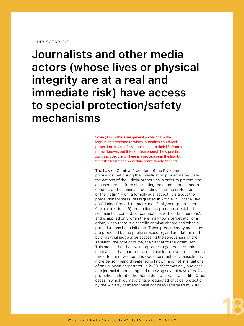**Journalists and other media actors (whose lives or physical integrity are at a real and immediate risk) have access to special protection/safety mechanisms**

> Score (3.42) - There are general provisions in the legislation according to which journalists could seek protection in case of a serious threat to their life from a person known, but it is not clear enough how practical such a procedure is. There is a procedure in the law, but the risk assessment procedure is not clearly defined.

The Law on Criminal Procedure of the RNM contains provisions that during the investigation procedure regulate the actions of the judicial authorities in order to prevent "the accused person from obstructing the conduct and smooth conduct of the criminal proceedings and the protection of the victim." From a formal-legal aspect, it is about the precautionary measures regulated in Article 146 of the Law on Criminal Procedure, more specifically paragraph 1, item 6, which reads "... 6) prohibition to approach or establish, i.e., maintain contacts or connections with certain persons", and is applied only when there is a known perpetrator of a crime, when there is a specific criminal charge and when a procedure has been initiated. These precautionary measures are proposed by the public prosecutor, and are determined by a pre-trial judge after assessing the seriousness of the situation, the type of crime, the danger to the victim, etc. This means that the law incorporates a general protection mechanism that journalists could use in the event of a serious threat to their lives, but this would be practically feasible only if the person being threatened is known, and not in situations of an unknown perpetrator. In 2020, there was only one case of a journalist requesting and receiving several days of police protection in front of her home due to threats to her life. Other cases in which journalists have requested physical protection by the Ministry of Interior have not been registered by AJM.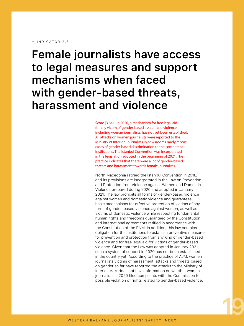**Female journalists have access to legal measures and support mechanisms when faced with gender-based threats, harassment and violence**

> Score (3.64) - In 2020, a mechanism for free legal aid for any victim of gender-based assault and violence, including woman journalists, has not yet been established. All attacks on women journalists were reported to the Ministry of Interior. Journalists in newsrooms rarely report cases of gender-based discrimination to the competent institutions. The Istanbul Convention was incorporated in the legislation adopted in the beginning of 2021. The practice indicates that there were a lot of gender-based threats and harassment towards female journalists.

North Macedonia ratified the Istanbul Convention in 2018, and its provisions are incorporated in the Law on Prevention and Protection from Violence against Women and Domestic Violence prepared during 2020 and adopted in January 2021. The law prohibits all forms of gender-based violence against women and domestic violence and guarantees basic mechanisms for effective protection of victims of any form of gender-based violence against women, as well as victims of domestic violence while respecting fundamental human rights and freedoms guaranteed by the Constitution and international agreements ratified in accordance with the Constitution of the RNM. In addition, this law contains obligation for the institutions to establish preventive measures for prevention and protection from any kind of gender-based violence and for free legal aid for victims of gender-based violence. Given that the Law was adopted in January 2021, such a system of support in 2020 has not been established in the country yet. According to the practice of AJM, women journalists victims of harassment, attacks and threats based on gender so far have reported the attacks to the Ministry of Interior. AJM does not have information on whether women journalists in 2020 filed complaints with the Commission for possible violation of rights related to gender-based violence.

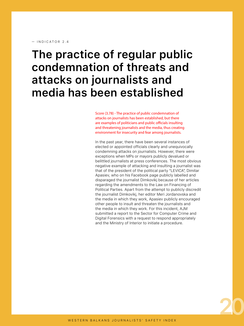#### $-$  INDICATOR 24

### **The practice of regular public condemnation of threats and attacks on journalists and media has been established**

Score (3.78) - The practice of public condemnation of attacks on journalists has been established, but there are examples of politicians and public officials insulting and threatening journalists and the media, thus creating environment for insecurity and fear among journalists.

In the past year, there have been several instances of elected or appointed officials clearly and unequivocally condemning attacks on journalists. However, there were exceptions when MPs or mayors publicly devalued or belittled journalists at press conferences. The most obvious negative example of attacking and insulting a journalist was that of the president of the political party "LEVICA", Dimitar Apasiev, who on his Facebook page publicly labelled and disparaged the journalist Dimkovikj because of her articles regarding the amendments to the Law on Financing of Political Parties. Apart from the attempt to publicly discredit the journalist Dimkovikj, her editor Meri Jordanovska and the media in which they work, Apasiev publicly encouraged other people to insult and threaten the journalists and the media in which they work. For this incident, AJM submitted a report to the Sector for Computer Crime and Digital Forensics with a request to respond appropriately and the Ministry of Interior to initiate a procedure.

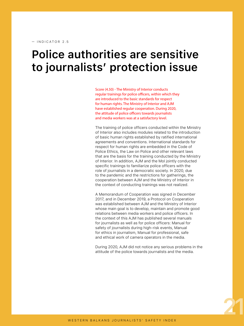### **Police authorities are sensitive to journalists' protection issue**

Score (4.50) - The Ministry of Interior conducts regular trainings for police officers, within which they are introduced to the basic standards for respect for human rights. The Ministry of Interior and AJM have established regular cooperation. During 2020, the attitude of police officers towards journalists and media workers was at a satisfactory level.

The training of police officers conducted within the Ministry of Interior also includes modules related to the introduction of basic human rights established by ratified international agreements and conventions. International standards for respect for human rights are embedded in the Code of Police Ethics, the Law on Police and other relevant laws that are the basis for the training conducted by the Ministry of Interior. In addition, AJM and the MoI jointly conducted specific trainings to familiarize police officers with the role of journalists in a democratic society. In 2020, due to the pandemic and the restrictions for gatherings, the cooperation between AJM and the Ministry of Interior in the context of conducting trainings was not realized.

A Memorandum of Cooperation was signed in December 2017, and in December 2019, a Protocol on Cooperation was established between AJM and the Ministry of Interior whose main goal is to develop, maintain and promote good relations between media workers and police officers. In the context of this AJM has published several manuals for journalists as well as for police officers: Manual for safety of journalists during high-risk events, Manual for ethics in journalism, Manual for professional, safe and ethical work of camera operators in the media.

During 2020, AJM did not notice any serious problems in the attitude of the police towards journalists and the media.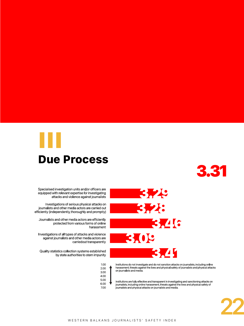<span id="page-22-0"></span>



Specialised investigation units and/or officers are equipped with relevant expertise for investigating attacks and violence against journalists

Investigations of serious physical attacks on journalists and other media actors are carried out efficiently (independently, thoroughly and promptly)

Journalists and other media actors are efficiently protected from various forms of online harassment

Investigations of all types of attacks and violence against journalists and other media actors are carriedout transparently

Quality statistics collection systems established by state authorities to stem impunity



3.29 3.28 3.46



Institutions do not investigate and do not sanction attacks on journalists, including online harassment, threats against the lives and physical safety of journalists and physical attacks on journalists and media.

Institutions are fully effective and transparent in investigating and sanctioning attacks on journalists, including online harassment, threats against the lives and physical safety of journalists and physical attacks on journalists and media.

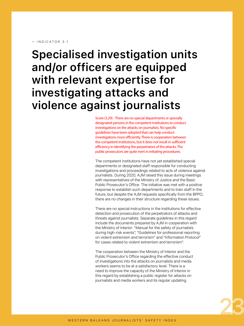#### — INDICATOR 3.1

### **Specialised investigation units and/or officers are equipped with relevant expertise for investigating attacks and violence against journalists**

Score (3.29) - There are no special departments or specially designated persons in the competent institutions to conduct investigations on the attacks on journalists. No specific guidelines have been adopted that can help conduct investigations more efficiently. There is cooperation between the competent institutions, but it does not result in sufficient efficiency in identifying the perpetrators of the attacks. The public prosecutors are quite inert in initiating procedures.

The competent institutions have not yet established special departments or designated staff responsible for conducting investigations and proceedings related to acts of violence against journalists. During 2020, AJM raised this issue during meetings with representatives of the Ministry of Justice and the Basic Public Prosecutor's Office. The initiative was met with a positive response to establish such departments and to train staff in the future, but despite the AJM requests specifically from the BPPO, there are no changes in their structure regarding these issues.

There are no special instructions in the institutions for effective detection and prosecution of the perpetrators of attacks and threats against journalists. Separate guidelines in this regard include the documents prepared by AJM in cooperation with the Ministry of Interior: "Manual for the safety of journalists during high-risk events", "Guidelines for professional reporting on violent extremism and terrorism" and "Information Protocol" for cases related to violent extremism and terrorism".

The cooperation between the Ministry of Interior and the Public Prosecutor's Office regarding the effective conduct of investigations into the attacks on journalists and media workers seems to be at a satisfactory level. There is a need to improve the capacity of the Ministry of Interior in this regard by establishing a public register for attacks on journalists and media workers and its regular updating.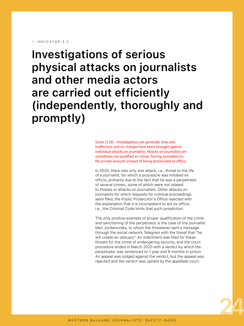**Investigations of serious physical attacks on journalists and other media actors are carried out efficiently (independently, thoroughly and promptly)**

> Score (3.28) - Investigations are generally slow and ineffective, and no charges have been brought against individual attacks on journalists. Attacks on journalists are sometimes not qualified as crimes, forcing journalists to file private lawsuits instead of being prosecuted ex officio.

In 2020, there was only one attack, i.e., threat to the life of a journalist, for which a procedure was initiated ex officio, primarily due to the fact that he was a perpetrator of several crimes, some of which were not related to threats or attacks on journalists. Other attacks on journalists for which requests for criminal proceedings were filed, the Public Prosecutor's Office rejected with the explanation that it is incompetent to act ex officio i.e., the Criminal Code limits that such jurisdiction.

The only positive example of proper qualification of the crime and sanctioning of the perpetrator is the case of the journalist Meri Jordanovska, to whom the threatener sent a message through the social network Telegram with the threat that "he will create an obituary". An indictment was filed for these threats for the crime of endangering security, and the court procedure ended in March 2020 with a verdict by which the perpetrator was sentenced to 1 year and 8 months in prison. An appeal was lodged against the verdict, but the appeal was rejected and the verdict was upheld by the appellate court.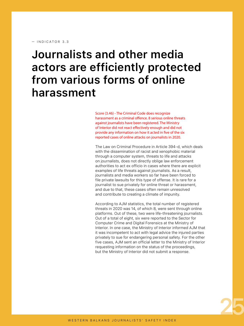### **Journalists and other media actors are efficiently protected from various forms of online harassment**

Score (3.46) - The Criminal Code does recognize harassment as a criminal offence. 8 serious online threats against journalists have been registered. The Ministry of Interior did not react effectively enough and did not provide any information on how it acted in five of the six reported cases of online attacks on journalists in 2020.

The Law on Criminal Procedure in Article 394-d, which deals with the dissemination of racist and xenophobic material through a computer system, threats to life and attacks on journalists, does not directly oblige law enforcement authorities to act ex officio in cases where there are explicit examples of life threats against journalists. As a result, journalists and media workers so far have been forced to file private lawsuits for this type of offense. It is rare for a journalist to sue privately for online threat or harassment, and due to that, these cases often remain unresolved and contribute to creating a climate of impunity.

According to AJM statistics, the total number of registered threats in 2020 was 14, of which 8, were sent through online platforms. Out of these, two were life-threatening journalists. Out of a total of eight, six were reported to the Sector for Computer Crime and Digital Forensics at the Ministry of Interior. In one case, the Ministry of Interior informed AJM that it was incompetent to act with legal advice the injured parties privately to sue for endangering personal safety. For the other five cases, AJM sent an official letter to the Ministry of Interior requesting information on the status of the proceedings, but the Ministry of Interior did not submit a response.

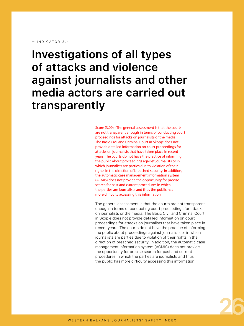#### $-$  INDICATOR 3 4

**Investigations of all types of attacks and violence against journalists and other media actors are carried out transparently**

> Score (3.09) - The general assessment is that the courts are not transparent enough in terms of conducting court proceedings for attacks on journalists or the media. The Basic Civil and Criminal Court in Skopje does not provide detailed information on court proceedings for attacks on journalists that have taken place in recent years. The courts do not have the practice of informing the public about proceedings against journalists or in which journalists are parties due to violation of their rights in the direction of breached security. In addition, the automatic case management information system (ACMIS) does not provide the opportunity for precise search for past and current procedures in which the parties are journalists and thus the public has more difficulty accessing this information.

The general assessment is that the courts are not transparent enough in terms of conducting court proceedings for attacks on journalists or the media. The Basic Civil and Criminal Court in Skopje does not provide detailed information on court proceedings for attacks on journalists that have taken place in recent years. The courts do not have the practice of informing the public about proceedings against journalists or in which journalists are parties due to violation of their rights in the direction of breached security. In addition, the automatic case management information system (ACMIS) does not provide the opportunity for precise search for past and current procedures in which the parties are journalists and thus the public has more difficulty accessing this information.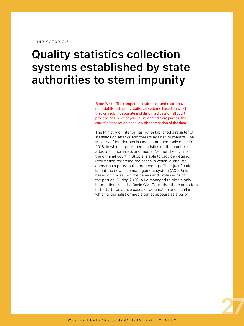### **Quality statistics collection systems established by state authorities to stem impunity**

Score (3.41) - The competent institutions and courts have not established quality statistical systems, based on which they can submit accurate and disjointed data on all court proceedings in which journalists or media are parties. The courts' databases do not allow disaggregation of the data.

The Ministry of Interior has not established a register of statistics on attacks and threats against journalists. The Ministry of Interior has issued a statement only once in 2018, in which it published statistics on the number of attacks on journalists and media. Neither the civil nor the criminal court in Skopje is able to provide detailed information regarding the cases in which journalists appear as a party to the proceedings. Their justification is that the new case management system (ACMIS) is based on codes, not the names and professions of the parties. During 2020, AJM managed to obtain only information from the Basic Civil Court that there are a total of thirty-three active cases of defamation and insult in which a journalist or media outlet appears as a party.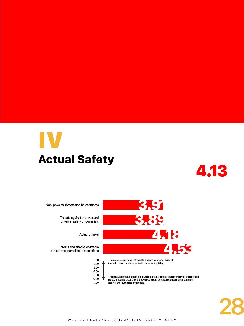## <span id="page-28-0"></span>Actual Safety IV



Non-physical threats and harassments

Threats against the lives and physical safety of journalists

Actual attacks

hreats and attacks on media outlets and journalists' associations

| 1.00 |  |
|------|--|
| 2.00 |  |
| 3.00 |  |
| 4.00 |  |
| 5.00 |  |
| 6.00 |  |
| 7.00 |  |



journalists and media organisations, including killings.

There have been no cases of actual attacks, no threats against the lives and physical safety of journalists, nor there have been non-physical threats and harassment against the journalists and media.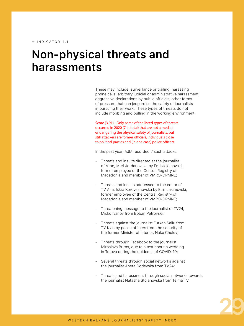### **Non-physical threats and harassments**

These may include: surveillance or trailing; harassing phone calls; arbitrary judicial or administrative harassment; aggressive declarations by public officials; other forms of pressure that can jeopardise the safety of journalists in pursuing their work. These types of threats do not include mobbing and bulling in the working environment.

Score (3.91) - Only some of the listed types of threats occurred in 2020 (7 in total) that are not aimed at endangering the physical safety of journalists, but still attackers are former officials, individuals close to political parties and (in one case) police officers.

In the past year, AJM recorded 7 such attacks:

- Threats and insults directed at the journalist of A1on, Meri Jordanovska by Emil Jakimovski, former employee of the Central Registry of Macedonia and member of VMRO-DPMNE;
- Threats and insults addressed to the editor of TV Alfa, Iskra Koroveshovska by Emil Jakimovski, former employee of the Central Registry of Macedonia and member of VMRO-DPMNE;
- Threatening message to the journalist of TV24, Misko Ivanov from Boban Petrovski;
- Threats against the journalist Furkan Saliu from TV Klan by police officers from the security of the former Minister of Interior, Nake Chulev;
- Threats through Facebook to the journalist Miroslava Burns, due to a text about a wedding in Tetovo during the epidemic of COVID-19;
- Several threats through social networks against the journalist Aneta Dodevska from TV24;
- Threats and harassment through social networks towards the journalist Natasha Stojanovska from Telma TV.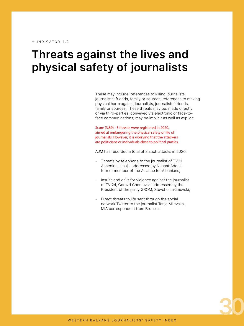### **Threats against the lives and physical safety of journalists**

These may include: references to killing journalists, journalists' friends, family or sources; references to making physical harm against journalists, journalists' friends, family or sources. These threats may be: made directly or via third-parties; conveyed via electronic or face-toface communications; may be implicit as well as explicit.

Score (3.89) - 3 threats were registered in 2020, aimed at endangering the physical safety or life of journalists. However, it is worrying that the attackers are politicians or individuals close to political parties.

AJM has recorded a total of 3 such attacks in 2020:

- Threats by telephone to the journalist of TV21 Almedina Ismajli, addressed by Neshat Ademi, former member of the Alliance for Albanians;
- Insults and calls for violence against the journalist of TV 24, Gorazd Chomovski addressed by the President of the party GROM, Stevcho Jakimovski;
- Direct threats to life sent through the social network Twitter to the journalist Tanja Milevska, MIA correspondent from Brussels.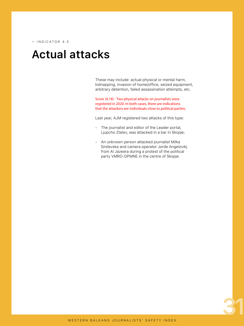### **Actual attacks**

These may include: actual physical or mental harm, kidnapping, invasion of home/office, seized equipment, arbitrary detention, failed assassination attempts, etc.

Score (4.18) - Two physical attacks on journalists were registered in 2020. In both cases, there are indications that the attackers are individuals close to political parties.

Last year, AJM registered two attacks of this type:

- The journalist and editor of the Leader portal, Ljupcho Zlatev, was attacked in a bar in Skopje;
- An unknown person attacked journalist Milka Smilevska and camera operator Jorde Angelovikj from Al Jazeera during a protest of the political party VMRO-DPMNE in the centre of Skopje.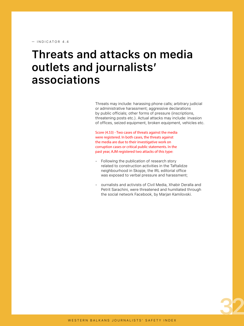— INDICATOR 4.4

### **Threats and attacks on media outlets and journalists' associations**

Threats may include: harassing phone calls; arbitrary judicial or administrative harassment; aggressive declarations by public officials; other forms of pressure (inscriptions, threatening posts etc.). Actual attacks may include: invasion of offices, seized equipment, broken equipment, vehicles etc.

Score (4.53) - Two cases of threats against the media were registered. In both cases, the threats against the media are due to their investigative work on corruption cases or critical public statements. In the past year, AJM registered two attacks of this type:

- Following the publication of research story related to construction activities in the Taftalidze neighbourhood in Skopje, the IRL editorial office was exposed to verbal pressure and harassment;
- ournalists and activists of Civil Media, Xhabir Deralla and Petrit Sarachini, were threatened and humiliated through the social network Facebook, by Marjan Kamilovski.